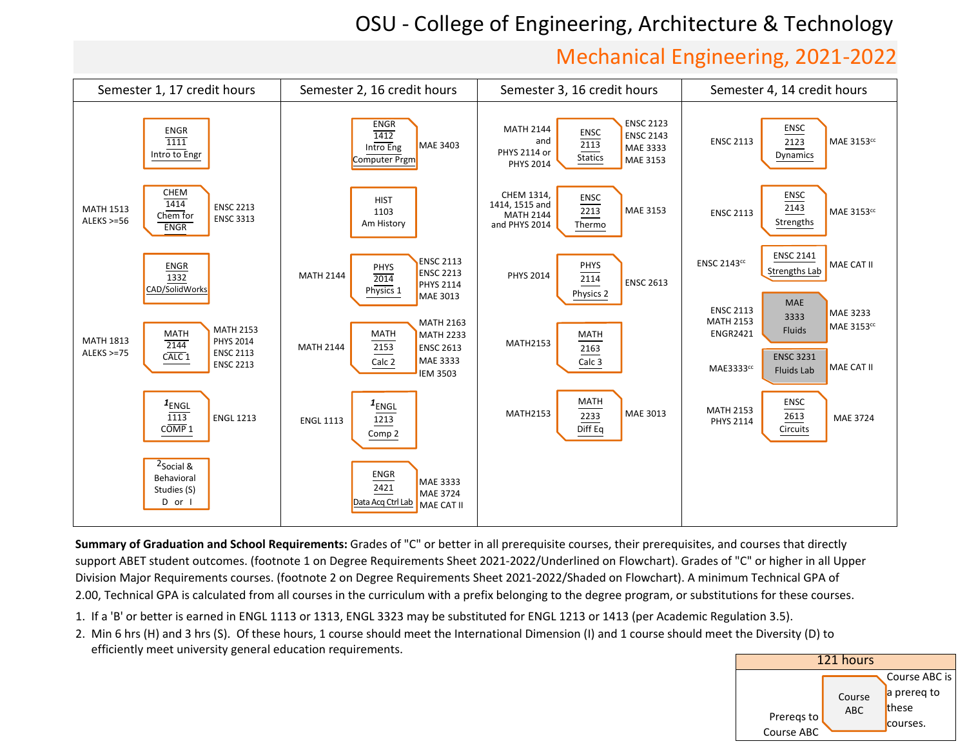## OSU ‐ College of Engineering, Architecture & Technology

## Mechanical Engineering, 2021‐2022



**Summary of Graduation and School Requirements:** Grades of "C" or better in all prerequisite courses, their prerequisites, and courses that directlysupport ABET student outcomes. (footnote 1 on Degree Requirements Sheet 2021-2022/Underlined on Flowchart). Grades of "C" or higher in all UpperDivision Major Requirements courses. (footnote 2 on Degree Requirements Sheet 2021-2022/Shaded on Flowchart). A minimum Technical GPA of 2.00, Technical GPA is calculated from all courses in the curriculum with a prefix belonging to the degree program, or substitutions for these courses.

- 1. If <sup>a</sup> 'B' or better is earned in ENGL <sup>1113</sup> or 1313, ENGL <sup>3323</sup> may be substituted for ENGL <sup>1213</sup> or <sup>1413</sup> (per Academic Regulation 3.5).
- 2. Min <sup>6</sup> hrs (H) and <sup>3</sup> hrs (S). Of these hours, <sup>1</sup> course should meet the International Dimension (I) and <sup>1</sup> course should meet the Diversity (D) toefficiently meet university general education requirements.